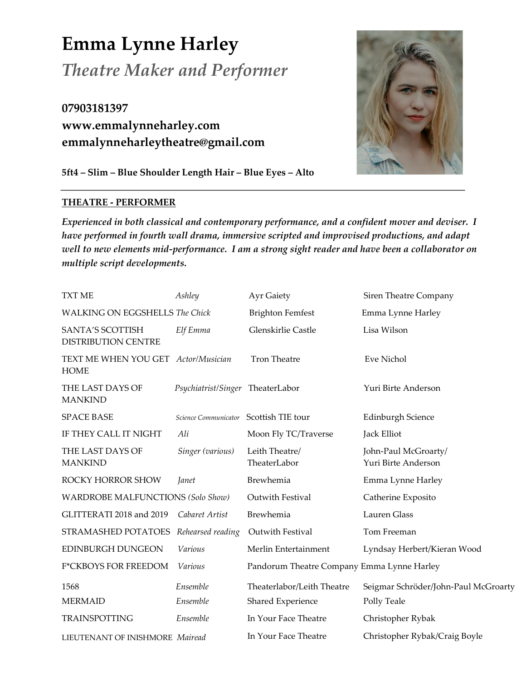**Emma Lynne Harley** *Theatre Maker and Performer*

**07903181397 www.emmalynneharley.com emmalynneharleytheatre@gmail.com**

**5ft4 – Slim – Blue Shoulder Length Hair – Blue Eyes – Alto** 

# **THEATRE - PERFORMER**

*Experienced in both classical and contemporary performance, and a confident mover and deviser. I have performed in fourth wall drama, immersive scripted and improvised productions, and adapt well to new elements mid-performance. I am a strong sight reader and have been a collaborator on multiple script developments.*

| <b>TXT ME</b>                                      | Ashley                           | <b>Ayr Gaiety</b>                               | Siren Theatre Company                               |
|----------------------------------------------------|----------------------------------|-------------------------------------------------|-----------------------------------------------------|
| <b>WALKING ON EGGSHELLS The Chick</b>              |                                  | <b>Brighton Femfest</b>                         | Emma Lynne Harley                                   |
| SANTA'S SCOTTISH<br><b>DISTRIBUTION CENTRE</b>     | Elf Emma                         | Glenskirlie Castle                              | Lisa Wilson                                         |
| TEXT ME WHEN YOU GET Actor/Musician<br><b>HOME</b> |                                  | <b>Tron Theatre</b>                             | Eve Nichol                                          |
| THE LAST DAYS OF<br><b>MANKIND</b>                 | Psychiatrist/Singer TheaterLabor |                                                 | Yuri Birte Anderson                                 |
| <b>SPACE BASE</b>                                  | Science Communicator             | Scottish TIE tour                               | <b>Edinburgh Science</b>                            |
| IF THEY CALL IT NIGHT                              | Ali                              | Moon Fly TC/Traverse                            | Jack Elliot                                         |
| THE LAST DAYS OF<br><b>MANKIND</b>                 | Singer (various)                 | Leith Theatre/<br>TheaterLabor                  | John-Paul McGroarty/<br>Yuri Birte Anderson         |
| ROCKY HORROR SHOW                                  | Janet                            | Brewhemia                                       | Emma Lynne Harley                                   |
| <b>WARDROBE MALFUNCTIONS (Solo Show)</b>           |                                  | Outwith Festival                                | Catherine Exposito                                  |
| GLITTERATI 2018 and 2019                           | Cabaret Artist                   | Brewhemia                                       | <b>Lauren Glass</b>                                 |
| STRAMASHED POTATOES                                | Rehearsed reading                | Outwith Festival                                | Tom Freeman                                         |
| <b>EDINBURGH DUNGEON</b>                           | Various                          | Merlin Entertainment                            | Lyndsay Herbert/Kieran Wood                         |
| <b>F*CKBOYS FOR FREEDOM</b>                        | Various                          | Pandorum Theatre Company Emma Lynne Harley      |                                                     |
| 1568<br><b>MERMAID</b>                             | Ensemble<br>Ensemble             | Theaterlabor/Leith Theatre<br>Shared Experience | Seigmar Schröder/John-Paul McGroarty<br>Polly Teale |
| <b>TRAINSPOTTING</b>                               | Ensemble                         | In Your Face Theatre                            | Christopher Rybak                                   |
| LIEUTENANT OF INISHMORE Mairead                    |                                  | In Your Face Theatre                            | Christopher Rybak/Craig Boyle                       |